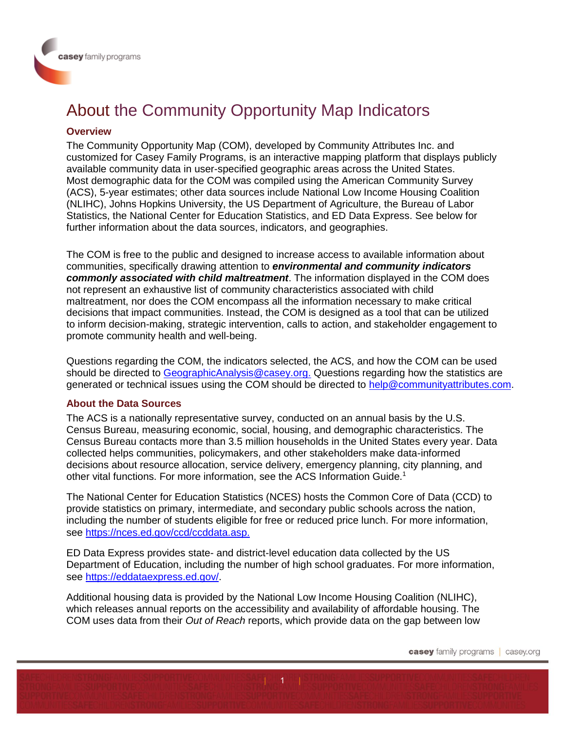# About the Community Opportunity Map Indicators

### **Overview**

The Community Opportunity Map (COM), developed by Community Attributes Inc. and customized for Casey Family Programs, is an interactive mapping platform that displays publicly available community data in user-specified geographic areas across the United States. Most demographic data for the COM was compiled using the American Community Survey (ACS), 5-year estimates; other data sources include National Low Income Housing Coalition (NLIHC), Johns Hopkins University, the US Department of Agriculture, the Bureau of Labor Statistics, the National Center for Education Statistics, and ED Data Express. See below for further information about the data sources, indicators, and geographies.

The COM is free to the public and designed to increase access to available information about communities, specifically drawing attention to *environmental and community indicators commonly associated with child maltreatment*. The information displayed in the COM does not represent an exhaustive list of community characteristics associated with child maltreatment, nor does the COM encompass all the information necessary to make critical decisions that impact communities. Instead, the COM is designed as a tool that can be utilized to inform decision-making, strategic intervention, calls to action, and stakeholder engagement to promote community health and well-being.

Questions regarding the COM, the indicators selected, the ACS, and how the COM can be used should be directed to [GeographicAnalysis@casey.org.](mailto:GeographicAnalysis@casey.org) Questions regarding how the statistics are generated or technical issues using the COM should be directed to [help@communityattributes.com.](mailto:help@communityattributes.com)

#### **About the Data Sources**

The ACS is a nationally representative survey, conducted on an annual basis by the U.S. Census Bureau, measuring economic, social, housing, and demographic characteristics. The Census Bureau contacts more than 3.5 million households in the United States every year. Data collected helps communities, policymakers, and other stakeholders make data-informed decisions about resource allocation, service delivery, emergency planning, city planning, and other vital functions. For more information, see the ACS Information Guide.<sup>1</sup>

The National Center for Education Statistics (NCES) hosts the Common Core of Data (CCD) to provide statistics on primary, intermediate, and secondary public schools across the nation, including the number of students eligible for free or reduced price lunch. For more information, see [https://nces.ed.gov/ccd/ccddata.asp.](https://nces.ed.gov/ccd/ccddata.asp)

ED Data Express provides state- and district-level education data collected by the US Department of Education, including the number of high school graduates. For more information, see [https://eddataexpress.ed.gov/.](https://eddataexpress.ed.gov/)

Additional housing data is provided by the National Low Income Housing Coalition (NLIHC), which releases annual reports on the accessibility and availability of affordable housing. The COM uses data from their *Out of Reach* reports, which provide data on the gap between low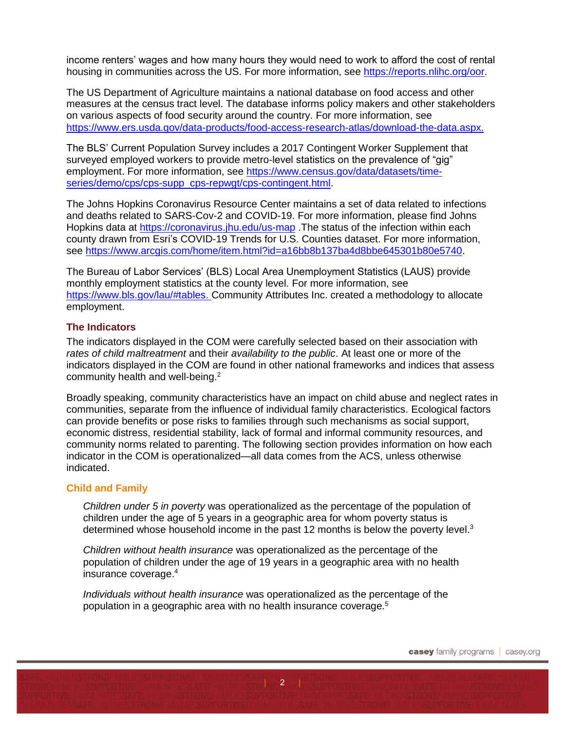income renters' wages and how many hours they would need to work to afford the cost of rental housing in communities across the US. For more information, see [https://reports.nlihc.org/oor.](https://reports.nlihc.org/oor)

The US Department of Agriculture maintains a national database on food access and other measures at the census tract level. The database informs policy makers and other stakeholders on various aspects of food security around the country. For more information, see [https://www.ers.usda.gov/data-products/food-access-research-atlas/download-the-data.aspx.](https://www.ers.usda.gov/data-products/food-access-research-atlas/download-the-data.aspx)

The BLS' Current Population Survey includes a 2017 Contingent Worker Supplement that surveyed employed workers to provide metro-level statistics on the prevalence of "gig" employment. For more information, see [https://www.census.gov/data/datasets/time](https://www.census.gov/data/datasets/time-series/demo/cps/cps-supp_cps-repwgt/cps-contingent.html)[series/demo/cps/cps-supp\\_cps-repwgt/cps-contingent.html.](https://www.census.gov/data/datasets/time-series/demo/cps/cps-supp_cps-repwgt/cps-contingent.html)

The Johns Hopkins Coronavirus Resource Center maintains a set of data related to infections and deaths related to SARS-Cov-2 and COVID-19. For more information, please find Johns Hopkins data at<https://coronavirus.jhu.edu/us-map> .The status of the infection within each county drawn from Esri's COVID-19 Trends for U.S. Counties dataset. For more information, see [https://www.arcgis.com/home/item.html?id=a16bb8b137ba4d8bbe645301b80e5740.](https://www.arcgis.com/home/item.html?id=a16bb8b137ba4d8bbe645301b80e5740)

The Bureau of Labor Services' (BLS) Local Area Unemployment Statistics (LAUS) provide monthly employment statistics at the county level. For more information, see [https://www.bls.gov/lau/#tables.](https://www.bls.gov/lau/#tables) Community Attributes Inc. created a methodology to allocate employment.

## **The Indicators**

The indicators displayed in the COM were carefully selected based on their association with *rates of child maltreatment* and their *availability to the public*. At least one or more of the indicators displayed in the COM are found in other national frameworks and indices that assess community health and well-being.<sup>2</sup>

Broadly speaking, community characteristics have an impact on child abuse and neglect rates in communities, separate from the influence of individual family characteristics. Ecological factors can provide benefits or pose risks to families through such mechanisms as social support, economic distress, residential stability, lack of formal and informal community resources, and community norms related to parenting. The following section provides information on how each indicator in the COM is operationalized—all data comes from the ACS, unless otherwise indicated.

## **Child and Family**

*Children under 5 in poverty* was operationalized as the percentage of the population of children under the age of 5 years in a geographic area for whom poverty status is determined whose household income in the past 12 months is below the poverty level.<sup>3</sup>

*Children without health insurance* was operationalized as the percentage of the population of children under the age of 19 years in a geographic area with no health insurance coverage. 4

*Individuals without health insurance* was operationalized as the percentage of the population in a geographic area with no health insurance coverage.<sup>5</sup>

 $2$  |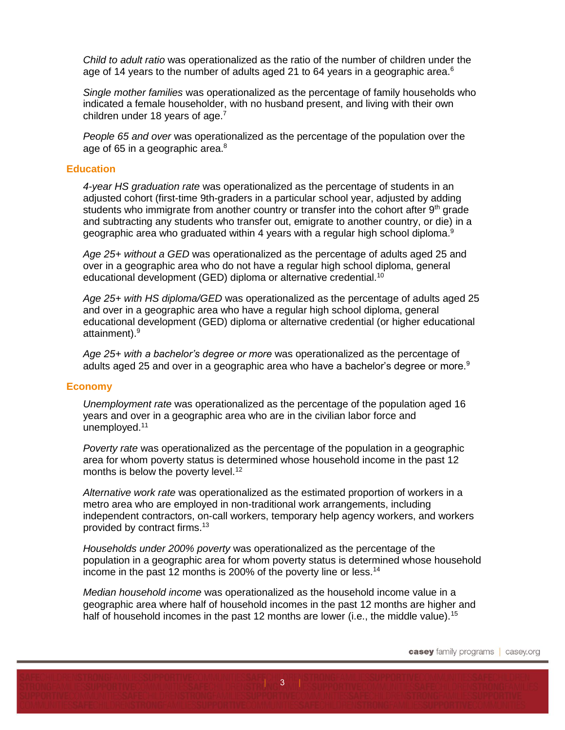*Child to adult ratio* was operationalized as the ratio of the number of children under the age of 14 years to the number of adults aged 21 to 64 years in a geographic area.<sup>6</sup>

*Single mother families* was operationalized as the percentage of family households who indicated a female householder, with no husband present, and living with their own children under 18 years of age. $<sup>7</sup>$ </sup>

*People 65 and over* was operationalized as the percentage of the population over the age of 65 in a geographic area.<sup>8</sup>

#### **Education**

*4-year HS graduation rate* was operationalized as the percentage of students in an adjusted cohort (first-time 9th-graders in a particular school year, adjusted by adding students who immigrate from another country or transfer into the cohort after  $9<sup>th</sup>$  grade and subtracting any students who transfer out, emigrate to another country, or die) in a geographic area who graduated within 4 years with a regular high school diploma.<sup>9</sup>

*Age 25+ without a GED* was operationalized as the percentage of adults aged 25 and over in a geographic area who do not have a regular high school diploma, general educational development (GED) diploma or alternative credential.<sup>10</sup>

*Age 25+ with HS diploma/GED* was operationalized as the percentage of adults aged 25 and over in a geographic area who have a regular high school diploma, general educational development (GED) diploma or alternative credential (or higher educational attainment).<sup>9</sup>

*Age 25+ with a bachelor's degree or more* was operationalized as the percentage of adults aged 25 and over in a geographic area who have a bachelor's degree or more. $9$ 

#### **Economy**

*Unemployment rate* was operationalized as the percentage of the population aged 16 years and over in a geographic area who are in the civilian labor force and unemployed.<sup>11</sup>

*Poverty rate* was operationalized as the percentage of the population in a geographic area for whom poverty status is determined whose household income in the past 12 months is below the poverty level.<sup>12</sup>

*Alternative work rate* was operationalized as the estimated proportion of workers in a metro area who are employed in non-traditional work arrangements, including independent contractors, on-call workers, temporary help agency workers, and workers provided by contract firms.<sup>13</sup>

*Households under 200% poverty* was operationalized as the percentage of the population in a geographic area for whom poverty status is determined whose household income in the past 12 months is 200% of the poverty line or less.<sup>14</sup>

*Median household income* was operationalized as the household income value in a geographic area where half of household incomes in the past 12 months are higher and half of household incomes in the past 12 months are lower (i.e., the middle value).<sup>15</sup>

 $|3|$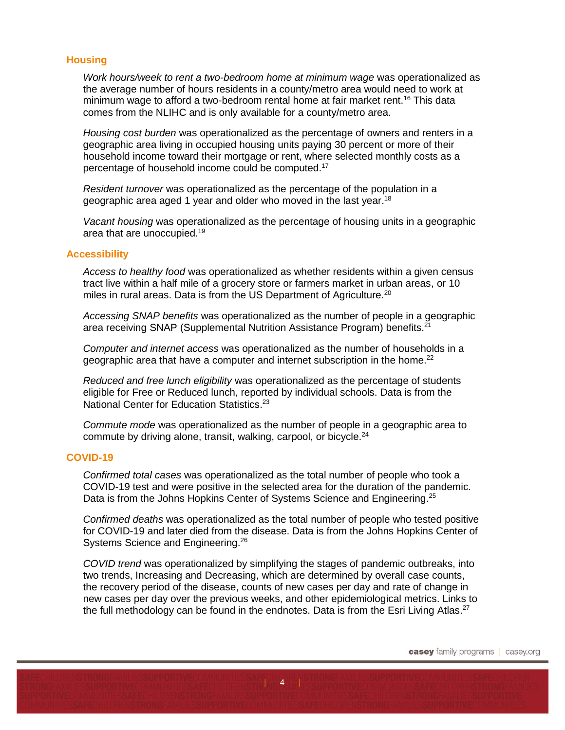## **Housing**

*Work hours/week to rent a two-bedroom home at minimum wage* was operationalized as the average number of hours residents in a county/metro area would need to work at minimum wage to afford a two-bedroom rental home at fair market rent.<sup>16</sup> This data comes from the NLIHC and is only available for a county/metro area.

*Housing cost burden* was operationalized as the percentage of owners and renters in a geographic area living in occupied housing units paying 30 percent or more of their household income toward their mortgage or rent, where selected monthly costs as a percentage of household income could be computed.<sup>17</sup>

*Resident turnover* was operationalized as the percentage of the population in a geographic area aged 1 year and older who moved in the last year.<sup>18</sup>

*Vacant housing* was operationalized as the percentage of housing units in a geographic area that are unoccupied.<sup>19</sup>

#### **Accessibility**

*Access to healthy food* was operationalized as whether residents within a given census tract live within a half mile of a grocery store or farmers market in urban areas, or 10 miles in rural areas. Data is from the US Department of Agriculture.<sup>20</sup>

*Accessing SNAP benefits* was operationalized as the number of people in a geographic area receiving SNAP (Supplemental Nutrition Assistance Program) benefits.<sup>21</sup>

*Computer and internet access* was operationalized as the number of households in a geographic area that have a computer and internet subscription in the home.<sup>22</sup>

*Reduced and free lunch eligibility* was operationalized as the percentage of students eligible for Free or Reduced lunch, reported by individual schools. Data is from the National Center for Education Statistics.<sup>23</sup>

*Commute mode* was operationalized as the number of people in a geographic area to commute by driving alone, transit, walking, carpool, or bicycle.<sup>24</sup>

#### **COVID-19**

*Confirmed total cases* was operationalized as the total number of people who took a COVID-19 test and were positive in the selected area for the duration of the pandemic. Data is from the Johns Hopkins Center of Systems Science and Engineering.<sup>25</sup>

*Confirmed deaths* was operationalized as the total number of people who tested positive for COVID-19 and later died from the disease. Data is from the Johns Hopkins Center of Systems Science and Engineering.<sup>26</sup>

*COVID trend* was operationalized by simplifying the stages of pandemic outbreaks, into two trends, Increasing and Decreasing, which are determined by overall case counts, the recovery period of the disease, counts of new cases per day and rate of change in new cases per day over the previous weeks, and other epidemiological metrics. Links to the full methodology can be found in the endnotes. Data is from the Esri Living Atlas.<sup>27</sup>

 $\vert 4 \vert$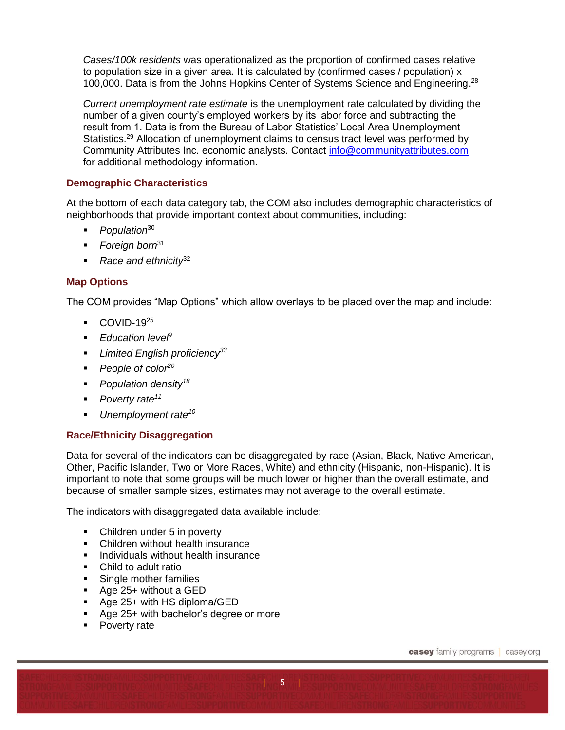*Cases/100k residents* was operationalized as the proportion of confirmed cases relative to population size in a given area. It is calculated by (confirmed cases / population) x 100,000. Data is from the Johns Hopkins Center of Systems Science and Engineering.<sup>28</sup>

*Current unemployment rate estimate* is the unemployment rate calculated by dividing the number of a given county's employed workers by its labor force and subtracting the result from 1. Data is from the Bureau of Labor Statistics' Local Area Unemployment Statistics.<sup>29</sup> Allocation of unemployment claims to census tract level was performed by Community Attributes Inc. economic analysts. Contact [info@communityattributes.com](mailto:info@communityattributes.com) for additional methodology information.

# **Demographic Characteristics**

At the bottom of each data category tab, the COM also includes demographic characteristics of neighborhoods that provide important context about communities, including:

- *Population*<sup>30</sup>
- *Foreign born*<sup>31</sup>
- *Race and ethnicity*<sup>32</sup>

# **Map Options**

The COM provides "Map Options" which allow overlays to be placed over the map and include:

- $\blacksquare$  COVID-19<sup>25</sup>
- *Education level<sup>9</sup>*
- *Limited English proficiency<sup>33</sup>*
- *People of color<sup>20</sup>*
- *Population density<sup>18</sup>*
- *Poverty rate<sup>11</sup>*
- *Unemployment rate<sup>10</sup>*

# **Race/Ethnicity Disaggregation**

Data for several of the indicators can be disaggregated by race (Asian, Black, Native American, Other, Pacific Islander, Two or More Races, White) and ethnicity (Hispanic, non-Hispanic). It is important to note that some groups will be much lower or higher than the overall estimate, and because of smaller sample sizes, estimates may not average to the overall estimate.

 $5<sub>°</sub>$ 

The indicators with disaggregated data available include:

- Children under 5 in poverty
- Children without health insurance
- **Individuals without health insurance**
- Child to adult ratio
- Single mother families
- Age 25+ without a GED
- Age 25+ with HS diploma/GED
- Age 25+ with bachelor's degree or more
- Poverty rate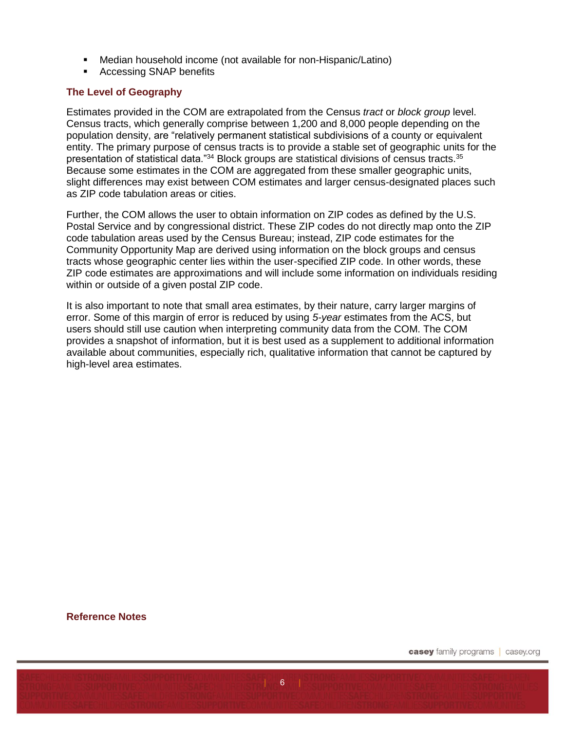- Median household income (not available for non-Hispanic/Latino)
- **Accessing SNAP benefits**

## **The Level of Geography**

Estimates provided in the COM are extrapolated from the Census *tract* or *block group* level. Census tracts, which generally comprise between 1,200 and 8,000 people depending on the population density, are "relatively permanent statistical subdivisions of a county or equivalent entity. The primary purpose of census tracts is to provide a stable set of geographic units for the presentation of statistical data."<sup>34</sup> Block groups are statistical divisions of census tracts.<sup>35</sup> Because some estimates in the COM are aggregated from these smaller geographic units, slight differences may exist between COM estimates and larger census-designated places such as ZIP code tabulation areas or cities.

Further, the COM allows the user to obtain information on ZIP codes as defined by the U.S. Postal Service and by congressional district. These ZIP codes do not directly map onto the ZIP code tabulation areas used by the Census Bureau; instead, ZIP code estimates for the Community Opportunity Map are derived using information on the block groups and census tracts whose geographic center lies within the user-specified ZIP code. In other words, these ZIP code estimates are approximations and will include some information on individuals residing within or outside of a given postal ZIP code.

It is also important to note that small area estimates, by their nature, carry larger margins of error. Some of this margin of error is reduced by using *5-year* estimates from the ACS, but users should still use caution when interpreting community data from the COM. The COM provides a snapshot of information, but it is best used as a supplement to additional information available about communities, especially rich, qualitative information that cannot be captured by high-level area estimates.

 $6<sup>1</sup>$ 

#### **Reference Notes**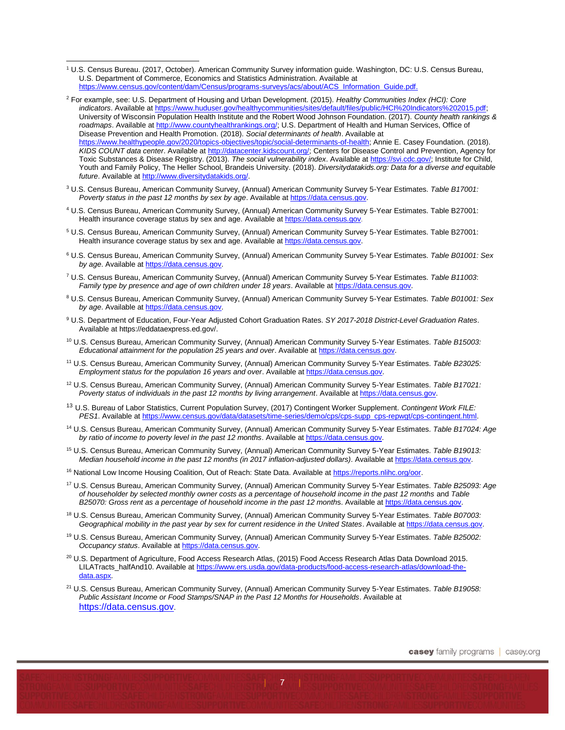<sup>1</sup> U.S. Census Bureau. (2017, October). American Community Survey information guide. Washington, DC: U.S. Census Bureau, U.S. Department of Commerce, Economics and Statistics Administration. Available at [https://www.census.gov/content/dam/Census/programs-surveys/acs/about/ACS\\_Information\\_Guide.pdf.](https://www.census.gov/content/dam/Census/programs-surveys/acs/about/ACS_Information_Guide.pdf)

- <sup>2</sup> For example, see: U.S. Department of Housing and Urban Development. (2015). *Healthy Communities Index (HCI): Core indicators*. Available at [https://www.huduser.gov/healthycommunities/sites/default/files/public/HCI%20Indicators%202015.pdf;](https://www.huduser.gov/healthycommunities/sites/default/files/public/HCI%20Indicators%202015.pdf) University of Wisconsin Population Health Institute and the Robert Wood Johnson Foundation. (2017). *County health rankings & roadmaps*. Available a[t http://www.countyhealthrankings.org/;](http://www.countyhealthrankings.org/) U.S. Department of Health and Human Services, Office of Disease Prevention and Health Promotion. (2018). *Social determinants of health*. Available at [https://www.healthypeople.gov/2020/topics-objectives/topic/social-determinants-of-health;](https://www.healthypeople.gov/2020/topics-objectives/topic/social-determinants-of-health) Annie E. Casey Foundation. (2018). *KIDS COUNT data center*. Available a[t http://datacenter.kidscount.org/;](http://datacenter.kidscount.org/) Centers for Disease Control and Prevention, Agency for Toxic Substances & Disease Registry. (2013). *The social vulnerability index*. Available a[t https://svi.cdc.gov/;](https://svi.cdc.gov/) Institute for Child, Youth and Family Policy, The Heller School, Brandeis University. (2018). *Diversitydatakids.org: Data for a diverse and equitable future*. Available at [http://www.diversitydatakids.org/.](http://www.diversitydatakids.org/)
- <sup>3</sup> U.S. Census Bureau, American Community Survey, (Annual) American Community Survey 5-Year Estimates. *Table B17001: Poverty status in the past 12 months by sex by age*. Available a[t https://data.census.gov.](https://factfinder.census.gov/)
- <sup>4</sup> U.S. Census Bureau, American Community Survey, (Annual) American Community Survey 5-Year Estimates. Table B27001: Health insurance coverage status by sex and age. Available at [https://data.census.gov](https://data.census.gov/).
- <sup>5</sup> U.S. Census Bureau, American Community Survey, (Annual) American Community Survey 5-Year Estimates. Table B27001: Health insurance coverage status by sex and age. Available a[t https://data.census.gov.](https://data.census.gov/)
- <sup>6</sup> U.S. Census Bureau, American Community Survey, (Annual) American Community Survey 5-Year Estimates. *Table B01001: Sex*  by age. Available at **https://data.census.gov.**
- <sup>7</sup> U.S. Census Bureau, American Community Survey, (Annual) American Community Survey 5-Year Estimates. *Table B11003*: *Family type by presence and age of own children under 18 years*. Available a[t https://data.census.gov.](https://factfinder.census.gov/)
- <sup>8</sup> U.S. Census Bureau, American Community Survey, (Annual) American Community Survey 5-Year Estimates. *Table B01001: Sex by age*. Available at [https://data.census.gov.](https://factfinder.census.gov/)
- <sup>9</sup> U.S. Department of Education, Four-Year Adjusted Cohort Graduation Rates. *SY 2017-2018 District-Level Graduation Rates*. Available at https://eddataexpress.ed.gov/.
- <sup>10</sup> U.S. Census Bureau, American Community Survey, (Annual) American Community Survey 5-Year Estimates. *Table B15003: Educational attainment for the population 25 years and over*. Available a[t https://data.census.gov.](https://factfinder.census.gov/)
- <sup>11</sup> U.S. Census Bureau, American Community Survey, (Annual) American Community Survey 5-Year Estimates. *Table B23025: Employment status for the population 16 years and over*. Available at [https://data.census.gov.](https://factfinder.census.gov/)
- <sup>12</sup> U.S. Census Bureau, American Community Survey, (Annual) American Community Survey 5-Year Estimates. *Table B17021: Poverty status of individuals in the past 12 months by living arrangement*. Available a[t https://data.census.gov.](https://factfinder.census.gov/)
- <sup>13</sup> U.S. Bureau of Labor Statistics, Current Population Survey, (2017) Contingent Worker Supplement. *Contingent Work FILE: PES1*. Available at [https://www.census.gov/data/datasets/time-series/demo/cps/cps-supp\\_cps-repwgt/cps-contingent.html.](https://www.census.gov/data/datasets/time-series/demo/cps/cps-supp_cps-repwgt/cps-contingent.html)
- <sup>14</sup> U.S. Census Bureau, American Community Survey, (Annual) American Community Survey 5-Year Estimates. *Table B17024: Age by ratio of income to poverty level in the past 12 months*. Available a[t https://data.census.gov.](https://factfinder.census.gov/)
- <sup>15</sup> U.S. Census Bureau, American Community Survey, (Annual) American Community Survey 5-Year Estimates. *Table B19013: Median household income in the past 12 months (in 2017 inflation-adjusted dollars)*. Available a[t https://data.census.gov.](https://factfinder.census.gov/)
- <sup>16</sup> National Low Income Housing Coalition, Out of Reach: State Data. Available at [https://reports.nlihc.org/oor.](https://reports.nlihc.org/oor)
- <sup>17</sup> U.S. Census Bureau, American Community Survey, (Annual) American Community Survey 5-Year Estimates. *Table B25093: Age of householder by selected monthly owner costs as a percentage of household income in the past 12 months* and *Table B25070: Gross rent as a percentage of household income in the past 12 month*s. Available a[t https://data.census.gov.](https://factfinder.census.gov/)
- <sup>18</sup> U.S. Census Bureau, American Community Survey, (Annual) American Community Survey 5-Year Estimates. *Table B07003: Geographical mobility in the past year by sex for current residence in the United States*. Available a[t https://data.census.gov.](https://factfinder.census.gov/)
- <sup>19</sup> U.S. Census Bureau, American Community Survey, (Annual) American Community Survey 5-Year Estimates. *Table B25002: Occupancy status*. Available a[t https://data.census.gov.](https://factfinder.census.gov/)
- <sup>20</sup> U.S. Department of Agriculture, Food Access Research Atlas, (2015) Food Access Research Atlas Data Download 2015. LILATracts\_halfAnd10. Available at [https://www.ers.usda.gov/data-products/food-access-research-atlas/download-the](https://www.ers.usda.gov/data-products/food-access-research-atlas/download-the-data.aspx)[data.aspx.](https://www.ers.usda.gov/data-products/food-access-research-atlas/download-the-data.aspx)
- <sup>21</sup> U.S. Census Bureau, American Community Survey, (Annual) American Community Survey 5-Year Estimates. *Table B19058: Public Assistant Income or Food Stamps/SNAP in the Past 12 Months for Households*. Available at [https://data.census.gov](https://factfinder.census.gov/).

 $\overline{7}$